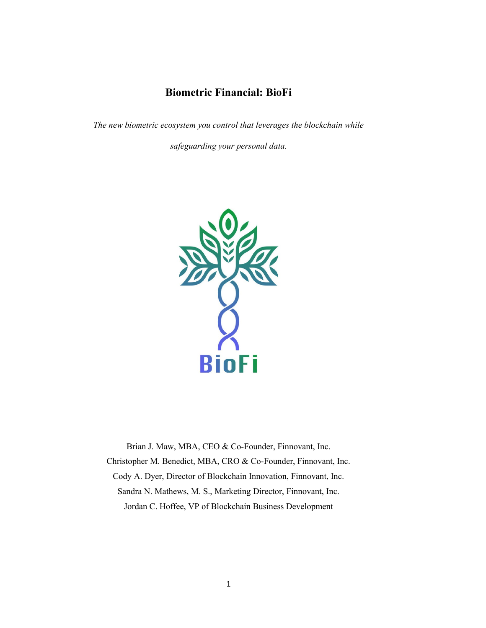# **Biometric Financial: BioFi**

*The new biometric ecosystem you control that leverages the blockchain while* 

*safeguarding your personal data.*



Brian J. Maw, MBA, CEO & Co-Founder, Finnovant, Inc. Christopher M. Benedict, MBA, CRO & Co-Founder, Finnovant, Inc. Cody A. Dyer, Director of Blockchain Innovation, Finnovant, Inc. Sandra N. Mathews, M. S., Marketing Director, Finnovant, Inc. Jordan C. Hoffee, VP of Blockchain Business Development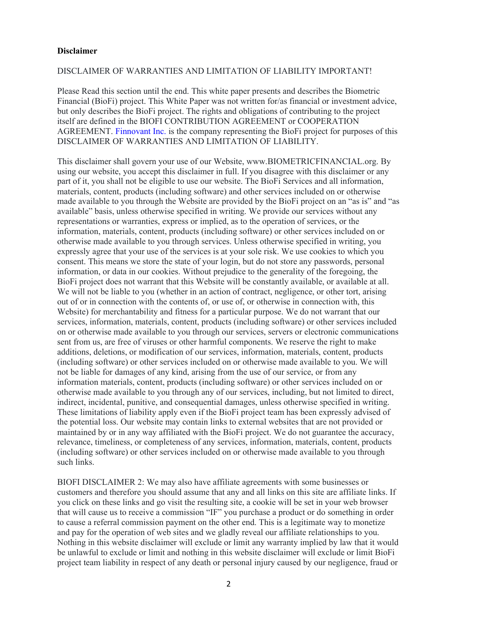#### <span id="page-1-0"></span>**Disclaimer**

#### DISCLAIMER OF WARRANTIES AND LIMITATION OF LIABILITY IMPORTANT!

Please Read this section until the end. This white paper presents and describes the Biometric Financial (BioFi) project. This White Paper was not written for/as financial or investment advice, but only describes the BioFi project. The rights and obligations of contributing to the project itself are defined in the BIOFI CONTRIBUTION AGREEMENT or COOPERATION AGREEMENT. [Finnovant Inc.](https://finnovant.com/) is the company representing the BioFi project for purposes of this DISCLAIMER OF WARRANTIES AND LIMITATION OF LIABILITY.

This disclaimer shall govern your use of our Website, www.BIOMETRICFINANCIAL.org. By using our website, you accept this disclaimer in full. If you disagree with this disclaimer or any part of it, you shall not be eligible to use our website. The BioFi Services and all information, materials, content, products (including software) and other services included on or otherwise made available to you through the Website are provided by the BioFi project on an "as is" and "as available" basis, unless otherwise specified in writing. We provide our services without any representations or warranties, express or implied, as to the operation of services, or the information, materials, content, products (including software) or other services included on or otherwise made available to you through services. Unless otherwise specified in writing, you expressly agree that your use of the services is at your sole risk. We use cookies to which you consent. This means we store the state of your login, but do not store any passwords, personal information, or data in our cookies. Without prejudice to the generality of the foregoing, the BioFi project does not warrant that this Website will be constantly available, or available at all. We will not be liable to you (whether in an action of contract, negligence, or other tort, arising out of or in connection with the contents of, or use of, or otherwise in connection with, this Website) for merchantability and fitness for a particular purpose. We do not warrant that our services, information, materials, content, products (including software) or other services included on or otherwise made available to you through our services, servers or electronic communications sent from us, are free of viruses or other harmful components. We reserve the right to make additions, deletions, or modification of our services, information, materials, content, products (including software) or other services included on or otherwise made available to you. We will not be liable for damages of any kind, arising from the use of our service, or from any information materials, content, products (including software) or other services included on or otherwise made available to you through any of our services, including, but not limited to direct, indirect, incidental, punitive, and consequential damages, unless otherwise specified in writing. These limitations of liability apply even if the BioFi project team has been expressly advised of the potential loss. Our website may contain links to external websites that are not provided or maintained by or in any way affiliated with the BioFi project. We do not guarantee the accuracy, relevance, timeliness, or completeness of any services, information, materials, content, products (including software) or other services included on or otherwise made available to you through such links.

BIOFI DISCLAIMER 2: We may also have affiliate agreements with some businesses or customers and therefore you should assume that any and all links on this site are affiliate links. If you click on these links and go visit the resulting site, a cookie will be set in your web browser that will cause us to receive a commission "IF" you purchase a product or do something in order to cause a referral commission payment on the other end. This is a legitimate way to monetize and pay for the operation of web sites and we gladly reveal our affiliate relationships to you. Nothing in this website disclaimer will exclude or limit any warranty implied by law that it would be unlawful to exclude or limit and nothing in this website disclaimer will exclude or limit BioFi project team liability in respect of any death or personal injury caused by our negligence, fraud or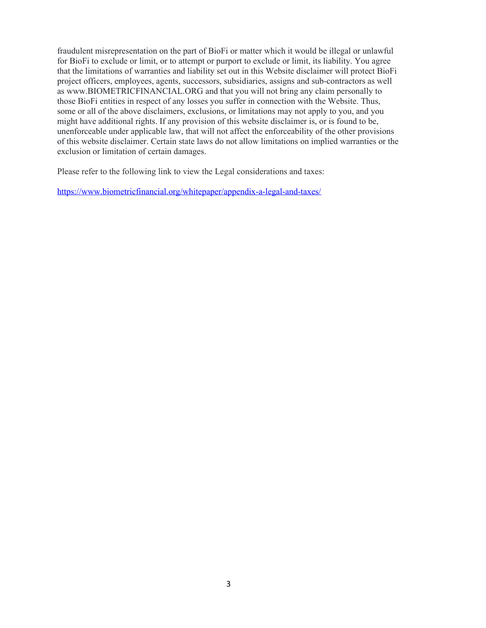fraudulent misrepresentation on the part of BioFi or matter which it would be illegal or unlawful for BioFi to exclude or limit, or to attempt or purport to exclude or limit, its liability. You agree that the limitations of warranties and liability set out in this Website disclaimer will protect BioFi project officers, employees, agents, successors, subsidiaries, assigns and sub‐contractors as well as www.BIOMETRICFINANCIAL.ORG and that you will not bring any claim personally to those BioFi entities in respect of any losses you suffer in connection with the Website. Thus, some or all of the above disclaimers, exclusions, or limitations may not apply to you, and you might have additional rights. If any provision of this website disclaimer is, or is found to be, unenforceable under applicable law, that will not affect the enforceability of the other provisions of this website disclaimer. Certain state laws do not allow limitations on implied warranties or the exclusion or limitation of certain damages.

Please refer to the following link to view the Legal considerations and taxes:

<https://www.biometricfinancial.org/whitepaper/appendix-a-legal-and-taxes/>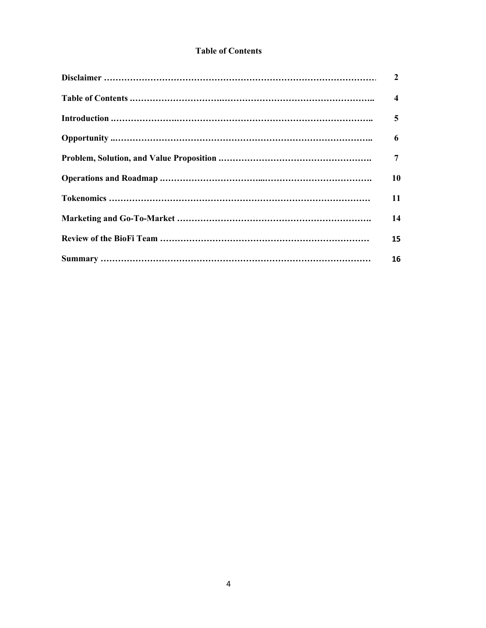# <span id="page-3-0"></span>**Table of Contents**

| $\overline{2}$          |
|-------------------------|
| $\overline{\mathbf{4}}$ |
| 5                       |
| 6                       |
| 7                       |
| 10                      |
| 11                      |
| 14                      |
| 15                      |
| 16                      |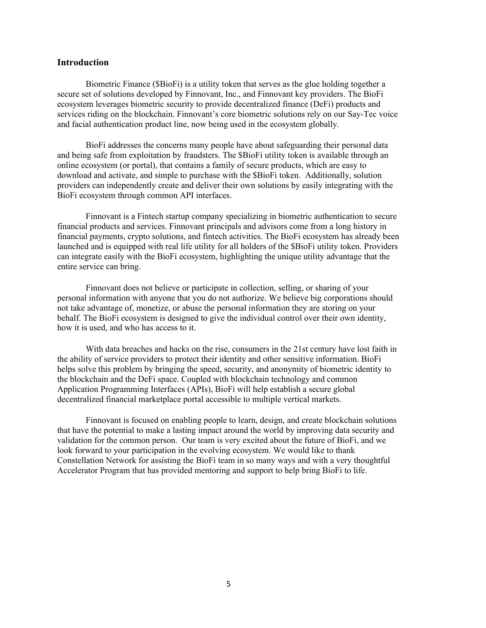#### **Introduction**

Biometric Finance (\$BioFi) is a utility token that serves as the glue holding together a secure set of solutions developed by Finnovant, Inc., and Finnovant key providers. The BioFi ecosystem leverages biometric security to provide decentralized finance (DeFi) products and services riding on the blockchain. Finnovant's core biometric solutions rely on our Say-Tec voice and facial authentication product line, now being used in the ecosystem globally.

BioFi addresses the concerns many people have about safeguarding their personal data and being safe from exploitation by fraudsters. The \$BioFi utility token is available through an online ecosystem (or portal), that contains a family of secure products, which are easy to download and activate, and simple to purchase with the \$BioFi token. Additionally, solution providers can independently create and deliver their own solutions by easily integrating with the BioFi ecosystem through common API interfaces.

Finnovant is a Fintech startup company specializing in biometric authentication to secure financial products and services. Finnovant principals and advisors come from a long history in financial payments, crypto solutions, and fintech activities. The BioFi ecosystem has already been launched and is equipped with real life utility for all holders of the \$BioFi utility token. Providers can integrate easily with the BioFi ecosystem, highlighting the unique utility advantage that the entire service can bring.

Finnovant does not believe or participate in collection, selling, or sharing of your personal information with anyone that you do not authorize. We believe big corporations should not take advantage of, monetize, or abuse the personal information they are storing on your behalf. The BioFi ecosystem is designed to give the individual control over their own identity, how it is used, and who has access to it.

With data breaches and hacks on the rise, consumers in the 21st century have lost faith in the ability of service providers to protect their identity and other sensitive information. BioFi helps solve this problem by bringing the speed, security, and anonymity of biometric identity to the blockchain and the DeFi space. Coupled with blockchain technology and common Application Programming Interfaces (APIs), BioFi will help establish a secure global decentralized financial marketplace portal accessible to multiple vertical markets.

<span id="page-4-0"></span>Finnovant is focused on enabling people to learn, design, and create blockchain solutions that have the potential to make a lasting impact around the world by improving data security and validation for the common person. Our team is very excited about the future of BioFi, and we look forward to your participation in the evolving ecosystem. We would like to thank Constellation Network for assisting the BioFi team in so many ways and with a very thoughtful Accelerator Program that has provided mentoring and support to help bring BioFi to life.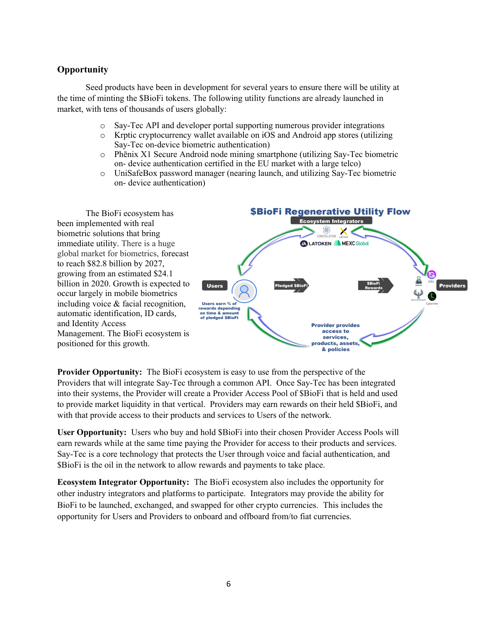# **Opportunity**

Seed products have been in development for several years to ensure there will be utility at the time of minting the \$BioFi tokens. The following utility functions are already launched in market, with tens of thousands of users globally:

- o Say-Tec API and developer portal supporting numerous provider integrations
- o Krptic cryptocurrency wallet available on iOS and Android app stores (utilizing Say-Tec on-device biometric authentication)
- o Phēnix X1 Secure Android node mining smartphone (utilizing Say-Tec biometric on- device authentication certified in the EU market with a large telco)
- o UniSafeBox password manager (nearing launch, and utilizing Say-Tec biometric on- device authentication)

The BioFi ecosystem has been implemented with real biometric solutions that bring immediate utility. There is a huge global market for biometrics, forecast to reach \$82.8 billion by 2027, growing from an estimated \$24.1 billion in 2020. Growth is expected to occur largely in mobile biometrics including voice & facial recognition, automatic identification, ID cards, and Identity Access Management. The BioFi ecosystem is positioned for this growth.



**Provider Opportunity:** The BioFi ecosystem is easy to use from the perspective of the Providers that will integrate Say-Tec through a common API. Once Say-Tec has been integrated into their systems, the Provider will create a Provider Access Pool of \$BioFi that is held and used to provide market liquidity in that vertical. Providers may earn rewards on their held \$BioFi, and with that provide access to their products and services to Users of the network.

**User Opportunity:** Users who buy and hold \$BioFi into their chosen Provider Access Pools will earn rewards while at the same time paying the Provider for access to their products and services. Say-Tec is a core technology that protects the User through voice and facial authentication, and \$BioFi is the oil in the network to allow rewards and payments to take place.

**Ecosystem Integrator Opportunity:** The BioFi ecosystem also includes the opportunity for other industry integrators and platforms to participate. Integrators may provide the ability for BioFi to be launched, exchanged, and swapped for other crypto currencies. This includes the opportunity for Users and Providers to onboard and offboard from/to fiat currencies.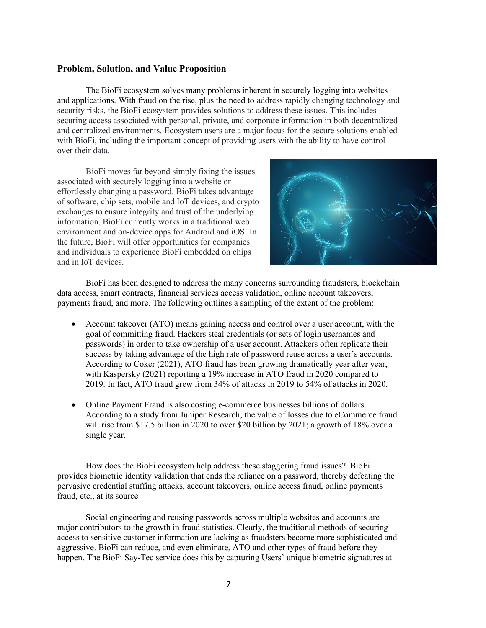#### <span id="page-6-0"></span>**Problem, Solution, and Value Proposition**

The BioFi ecosystem solves many problems inherent in securely logging into websites and applications. With fraud on the rise, plus the need to address rapidly changing technology and security risks, the BioFi ecosystem provides solutions to address these issues. This includes securing access associated with personal, private, and corporate information in both decentralized and centralized environments. Ecosystem users are a major focus for the secure solutions enabled with BioFi, including the important concept of providing users with the ability to have control over their data.

BioFi moves far beyond simply fixing the issues associated with securely logging into a website or effortlessly changing a password. BioFi takes advantage of software, chip sets, mobile and IoT devices, and crypto exchanges to ensure integrity and trust of the underlying information. BioFi currently works in a traditional web environment and on-device apps for Android and iOS. In the future, BioFi will offer opportunities for companies and individuals to experience BioFi embedded on chips and in IoT devices.



BioFi has been designed to address the many concerns surrounding fraudsters, blockchain data access, smart contracts, financial services access validation, online account takeovers, payments fraud, and more. The following outlines a sampling of the extent of the problem:

- Account takeover (ATO) means gaining access and control over a user account, with the goal of committing fraud. Hackers steal credentials (or sets of login usernames and passwords) in order to take ownership of a user account. Attackers often replicate their success by taking advantage of the high rate of password reuse across a user's accounts. According to Coker (2021), ATO fraud has been growing dramatically year after year, with Kaspersky (2021) reporting a 19% increase in ATO fraud in 2020 compared to 2019. In fact, ATO fraud grew from 34% of attacks in 2019 to 54% of attacks in 2020.
- Online Payment Fraud is also costing e-commerce businesses billions of dollars. According to a study from Juniper Research, the value of losses due to eCommerce fraud will rise from \$17.5 billion in 2020 to over \$20 billion by 2021; a growth of 18% over a single year.

How does the BioFi ecosystem help address these staggering fraud issues? BioFi provides biometric identity validation that ends the reliance on a password, thereby defeating the pervasive credential stuffing attacks, account takeovers, online access fraud, online payments fraud, etc., at its source

Social engineering and reusing passwords across multiple websites and accounts are major contributors to the growth in fraud statistics. Clearly, the traditional methods of securing access to sensitive customer information are lacking as fraudsters become more sophisticated and aggressive. BioFi can reduce, and even eliminate, ATO and other types of fraud before they happen. The BioFi Say-Tec service does this by capturing Users' unique biometric signatures at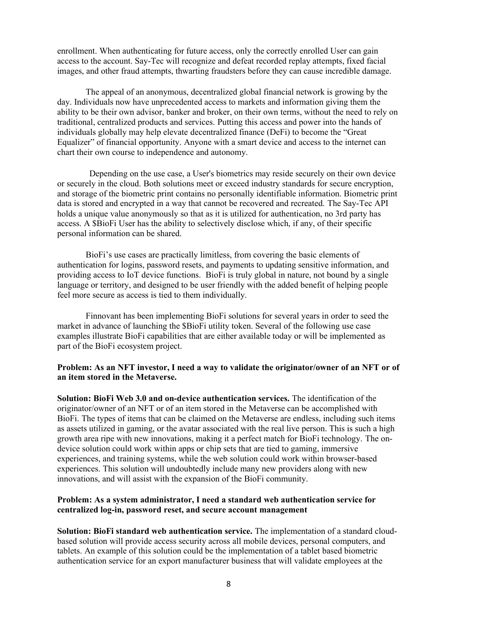enrollment. When authenticating for future access, only the correctly enrolled User can gain access to the account. Say-Tec will recognize and defeat recorded replay attempts, fixed facial images, and other fraud attempts, thwarting fraudsters before they can cause incredible damage.

The appeal of an anonymous, decentralized global financial network is growing by the day. Individuals now have unprecedented access to markets and information giving them the ability to be their own advisor, banker and broker, on their own terms, without the need to rely on traditional, centralized products and services. Putting this access and power into the hands of individuals globally may help elevate decentralized finance (DeFi) to become the "Great Equalizer" of financial opportunity. Anyone with a smart device and access to the internet can chart their own course to independence and autonomy.

Depending on the use case, a User's biometrics may reside securely on their own device or securely in the cloud. Both solutions meet or exceed industry standards for secure encryption, and storage of the biometric print contains no personally identifiable information. Biometric print data is stored and encrypted in a way that cannot be recovered and recreated. The Say-Tec API holds a unique value anonymously so that as it is utilized for authentication, no 3rd party has access. A \$BioFi User has the ability to selectively disclose which, if any, of their specific personal information can be shared.

BioFi's use cases are practically limitless, from covering the basic elements of authentication for logins, password resets, and payments to updating sensitive information, and providing access to IoT device functions. BioFi is truly global in nature, not bound by a single language or territory, and designed to be user friendly with the added benefit of helping people feel more secure as access is tied to them individually.

Finnovant has been implementing BioFi solutions for several years in order to seed the market in advance of launching the \$BioFi utility token. Several of the following use case examples illustrate BioFi capabilities that are either available today or will be implemented as part of the BioFi ecosystem project.

#### **Problem: As an NFT investor, I need a way to validate the originator/owner of an NFT or of an item stored in the Metaverse.**

**Solution: BioFi Web 3.0 and on-device authentication services.** The identification of the originator/owner of an NFT or of an item stored in the Metaverse can be accomplished with BioFi. The types of items that can be claimed on the Metaverse are endless, including such items as assets utilized in gaming, or the avatar associated with the real live person. This is such a high growth area ripe with new innovations, making it a perfect match for BioFi technology. The ondevice solution could work within apps or chip sets that are tied to gaming, immersive experiences, and training systems, while the web solution could work within browser-based experiences. This solution will undoubtedly include many new providers along with new innovations, and will assist with the expansion of the BioFi community.

## **Problem: As a system administrator, I need a standard web authentication service for centralized log-in, password reset, and secure account management**

**Solution: BioFi standard web authentication service.** The implementation of a standard cloudbased solution will provide access security across all mobile devices, personal computers, and tablets. An example of this solution could be the implementation of a tablet based biometric authentication service for an export manufacturer business that will validate employees at the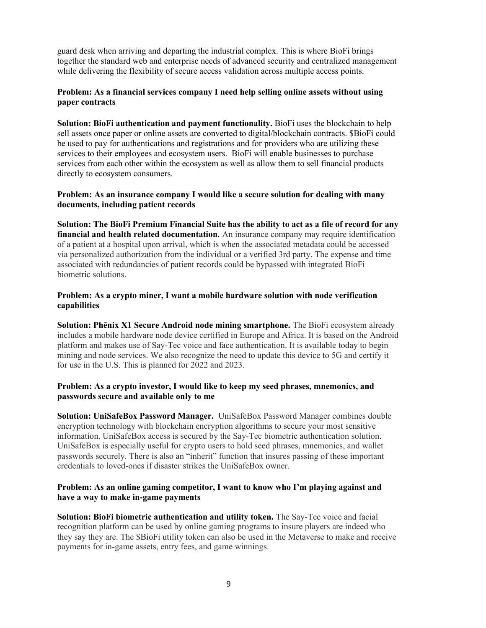guard desk when arriving and departing the industrial complex. This is where BioFi brings together the standard web and enterprise needs of advanced security and centralized management while delivering the flexibility of secure access validation across multiple access points.

## **Problem: As a financial services company I need help selling online assets without using paper contracts**

**Solution: BioFi authentication and payment functionality.** BioFi uses the blockchain to help sell assets once paper or online assets are converted to digital/blockchain contracts. \$BioFi could be used to pay for authentications and registrations and for providers who are utilizing these services to their employees and ecosystem users. BioFi will enable businesses to purchase services from each other within the ecosystem as well as allow them to sell financial products directly to ecosystem consumers.

## **Problem: As an insurance company I would like a secure solution for dealing with many documents, including patient records**

**Solution: The BioFi Premium Financial Suite has the ability to act as a file of record for any financial and health related documentation.** An insurance company may require identification of a patient at a hospital upon arrival, which is when the associated metadata could be accessed via personalized authorization from the individual or a verified 3rd party. The expense and time associated with redundancies of patient records could be bypassed with integrated BioFi biometric solutions.

## **Problem: As a crypto miner, I want a mobile hardware solution with node verification capabilities**

**Solution: Phēnix X1 Secure Android node mining smartphone.** The BioFi ecosystem already includes a mobile hardware node device certified in Europe and Africa. It is based on the Android platform and makes use of Say-Tec voice and face authentication. It is available today to begin mining and node services. We also recognize the need to update this device to 5G and certify it for use in the U.S. This is planned for 2022 and 2023.

## **Problem: As a crypto investor, I would like to keep my seed phrases, mnemonics, and passwords secure and available only to me**

**Solution: UniSafeBox Password Manager.** UniSafeBox Password Manager combines double encryption technology with blockchain encryption algorithms to secure your most sensitive information. UniSafeBox access is secured by the Say-Tec biometric authentication solution. UniSafeBox is especially useful for crypto users to hold seed phrases, mnemonics, and wallet passwords securely. There is also an "inherit" function that insures passing of these important credentials to loved-ones if disaster strikes the UniSafeBox owner.

## **Problem: As an online gaming competitor, I want to know who I'm playing against and have a way to make in-game payments**

**Solution: BioFi biometric authentication and utility token.** The Say-Tec voice and facial recognition platform can be used by online gaming programs to insure players are indeed who they say they are. The \$BioFi utility token can also be used in the Metaverse to make and receive payments for in-game assets, entry fees, and game winnings.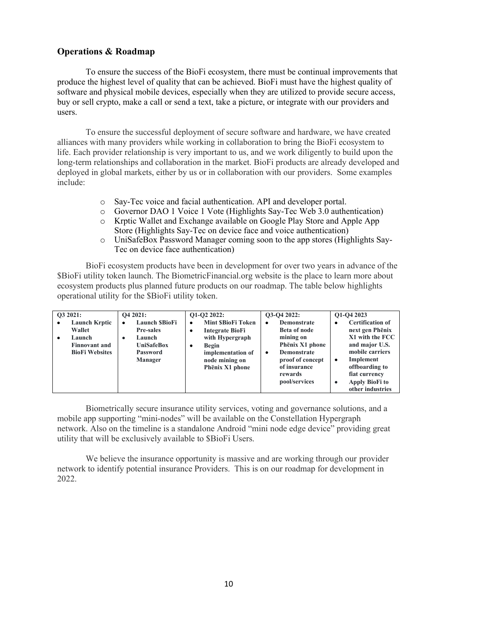## <span id="page-9-0"></span>**[Operations & Roadmap](#page-9-0)**

To ensure the success of the BioFi ecosystem, there must be continual improvements that produce the highest level of quality that can be achieved. BioFi must have the highest quality of software and physical mobile devices, especially when they are utilized to provide secure access, buy or sell crypto, make a call or send a text, take a picture, or integrate with our providers and users.

To ensure the successful deployment of secure software and hardware, we have created alliances with many providers while working in collaboration to bring the BioFi ecosystem to life. Each provider relationship is very important to us, and we work diligently to build upon the long-term relationships and collaboration in the market. BioFi products are already developed and deployed in global markets, either by us or in collaboration with our providers. Some examples include:

- o Say-Tec voice and facial authentication. API and developer portal.
- o Governor DAO 1 Voice 1 Vote (Highlights Say-Tec Web 3.0 authentication)
- o Krptic Wallet and Exchange available on Google Play Store and Apple App Store (Highlights Say-Tec on device face and voice authentication)
- o UniSafeBox Password Manager coming soon to the app stores (Highlights Say-Tec on device face authentication)

BioFi ecosystem products have been in development for over two years in advance of the \$BioFi utility token launch. The BiometricFinancial.org website is the place to learn more about ecosystem products plus planned future products on our roadmap. The table below highlights operational utility for the \$BioFi utility token.

| O3 2021:  |                                                                                           | O <sub>4</sub> 2021:                                                                                | O1-O2 2022:                                                                                                                                        | O3-O4 2022:                                                                                                                                                        | Q1-Q4 2023                                                                                                                                                                                                     |
|-----------|-------------------------------------------------------------------------------------------|-----------------------------------------------------------------------------------------------------|----------------------------------------------------------------------------------------------------------------------------------------------------|--------------------------------------------------------------------------------------------------------------------------------------------------------------------|----------------------------------------------------------------------------------------------------------------------------------------------------------------------------------------------------------------|
| $\bullet$ | <b>Launch Krptic</b><br>Wallet<br>Launch<br><b>Finnovant and</b><br><b>BioFi Websites</b> | <b>Launch SBioFi</b><br><b>Pre-sales</b><br>Launch<br>٠<br><b>UniSafeBox</b><br>Password<br>Manager | <b>Mint SBioFi Token</b><br>٠<br><b>Integrate BioFi</b><br>with Hypergraph<br>Begin<br>٠<br>implementation of<br>node mining on<br>Phēnix X1 phone | <b>Demonstrate</b><br>٠<br>Beta of node<br>mining on<br>Phēnix X1 phone<br><b>Demonstrate</b><br>٠<br>proof of concept<br>of insurance<br>rewards<br>pool/services | <b>Certification of</b><br>٠<br>next gen Phēnix<br>X1 with the FCC<br>and major U.S.<br>mobile carriers<br>Implement<br>٠<br>offboarding to<br>fiat currency<br><b>Apply BioFi to</b><br>٠<br>other industries |

Biometrically secure insurance utility services, voting and governance solutions, and a mobile app supporting "mini-nodes" will be available on the Constellation Hypergraph network. Also on the timeline is a standalone Android "mini node edge device" providing great utility that will be exclusively available to \$BioFi Users.

We believe the insurance opportunity is massive and are working through our provider network to identify potential insurance Providers. This is on our roadmap for development in 2022.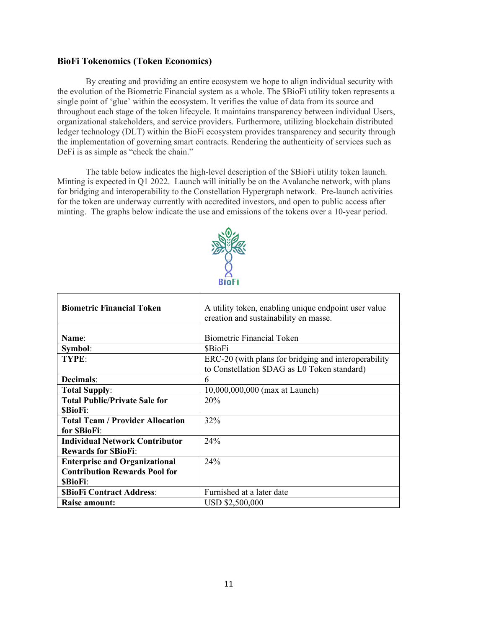# <span id="page-10-0"></span>**[BioFi Tokenomics \(Token Economics\)](#page-10-0)**

By creating and providing an entire ecosystem we hope to align individual security with the evolution of the Biometric Financial system as a whole. The \$BioFi utility token represents a single point of 'glue' within the ecosystem. It verifies the value of data from its source and throughout each stage of the token lifecycle. It maintains transparency between individual Users, organizational stakeholders, and service providers. Furthermore, utilizing blockchain distributed ledger technology (DLT) within the BioFi ecosystem provides transparency and security through the implementation of governing smart contracts. Rendering the authenticity of services such as DeFi is as simple as "check the chain."

The table below indicates the high-level description of the \$BioFi utility token launch. Minting is expected in Q1 2022. Launch will initially be on the Avalanche network, with plans for bridging and interoperability to the Constellation Hypergraph network. Pre-launch activities for the token are underway currently with accredited investors, and open to public access after minting. The graphs below indicate the use and emissions of the tokens over a 10-year period.



| <b>Biometric Financial Token</b>        | A utility token, enabling unique endpoint user value |  |
|-----------------------------------------|------------------------------------------------------|--|
|                                         | creation and sustainability en masse.                |  |
|                                         |                                                      |  |
| Name:                                   | <b>Biometric Financial Token</b>                     |  |
| Symbol:                                 | <b>SBioFi</b>                                        |  |
| TYPE:                                   | ERC-20 (with plans for bridging and interoperability |  |
|                                         | to Constellation \$DAG as L0 Token standard)         |  |
| Decimals:                               | 6                                                    |  |
| <b>Total Supply:</b>                    | 10,000,000,000 (max at Launch)                       |  |
| <b>Total Public/Private Sale for</b>    | 20%                                                  |  |
| <b>SBioFi:</b>                          |                                                      |  |
| <b>Total Team / Provider Allocation</b> | 32%                                                  |  |
| for SBioFi:                             |                                                      |  |
| <b>Individual Network Contributor</b>   | 24%                                                  |  |
| <b>Rewards for SBioFi:</b>              |                                                      |  |
| <b>Enterprise and Organizational</b>    | 24%                                                  |  |
| <b>Contribution Rewards Pool for</b>    |                                                      |  |
| <b>SBioFi:</b>                          |                                                      |  |
| <b>SBioFi Contract Address:</b>         | Furnished at a later date                            |  |
| Raise amount:                           | USD \$2,500,000                                      |  |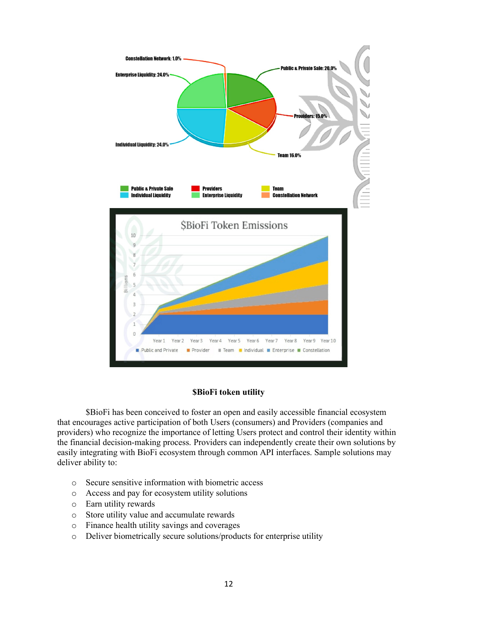

#### **\$BioFi token utility**

\$BioFi has been conceived to foster an open and easily accessible financial ecosystem that encourages active participation of both Users (consumers) and Providers (companies and providers) who recognize the importance of letting Users protect and control their identity within the financial decision-making process. Providers can independently create their own solutions by easily integrating with BioFi ecosystem through common API interfaces. Sample solutions may deliver ability to:

- o Secure sensitive information with biometric access
- o Access and pay for ecosystem utility solutions
- o Earn utility rewards
- o Store utility value and accumulate rewards
- o Finance health utility savings and coverages
- o Deliver biometrically secure solutions/products for enterprise utility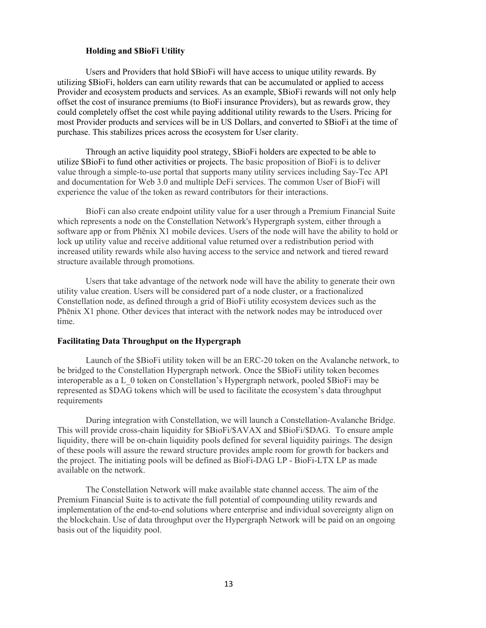#### **Holding and \$BioFi Utility**

Users and Providers that hold \$BioFi will have access to unique utility rewards. By utilizing \$BioFi, holders can earn utility rewards that can be accumulated or applied to access Provider and ecosystem products and services. As an example, \$BioFi rewards will not only help offset the cost of insurance premiums (to BioFi insurance Providers), but as rewards grow, they could completely offset the cost while paying additional utility rewards to the Users. Pricing for most Provider products and services will be in US Dollars, and converted to \$BioFi at the time of purchase. This stabilizes prices across the ecosystem for User clarity.

Through an active liquidity pool strategy, \$BioFi holders are expected to be able to utilize \$BioFi to fund other activities or projects. The basic proposition of BioFi is to deliver value through a simple-to-use portal that supports many utility services including Say-Tec API and documentation for Web 3.0 and multiple DeFi services. The common User of BioFi will experience the value of the token as reward contributors for their interactions.

BioFi can also create endpoint utility value for a user through a Premium Financial Suite which represents a node on the Constellation Network's Hypergraph system, either through a software app or from Phēnix X1 mobile devices. Users of the node will have the ability to hold or lock up utility value and receive additional value returned over a redistribution period with increased utility rewards while also having access to the service and network and tiered reward structure available through promotions.

Users that take advantage of the network node will have the ability to generate their own utility value creation. Users will be considered part of a node cluster, or a fractionalized Constellation node, as defined through a grid of BioFi utility ecosystem devices such as the Phēnix X1 phone. Other devices that interact with the network nodes may be introduced over time.

#### **Facilitating Data Throughput on the Hypergraph**

Launch of the \$BioFi utility token will be an ERC-20 token on the Avalanche network, to be bridged to the Constellation Hypergraph network. Once the \$BioFi utility token becomes interoperable as a L\_0 token on Constellation's Hypergraph network, pooled \$BioFi may be represented as \$DAG tokens which will be used to facilitate the ecosystem's data throughput requirements

During integration with Constellation, we will launch a Constellation-Avalanche Bridge. This will provide cross-chain liquidity for \$BioFi/\$AVAX and \$BioFi/\$DAG. To ensure ample liquidity, there will be on-chain liquidity pools defined for several liquidity pairings. The design of these pools will assure the reward structure provides ample room for growth for backers and the project. The initiating pools will be defined as BioFi-DAG LP - BioFi-LTX LP as made available on the network.

The Constellation Network will make available state channel access. The aim of the Premium Financial Suite is to activate the full potential of compounding utility rewards and implementation of the end-to-end solutions where enterprise and individual sovereignty align on the blockchain. Use of data throughput over the Hypergraph Network will be paid on an ongoing basis out of the liquidity pool.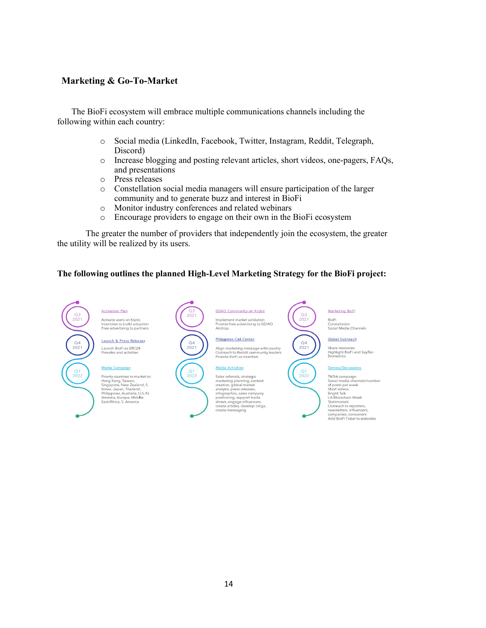# <span id="page-13-0"></span>**[Marketing & Go-To-Market](#page-13-0)**

The BioFi ecosystem will embrace multiple communications channels including the following within each country:

- o Social media (LinkedIn, Facebook, Twitter, Instagram, Reddit, Telegraph, Discord)
- o Increase blogging and posting relevant articles, short videos, one-pagers, FAQs, and presentations
- o Press releases
- o Constellation social media managers will ensure participation of the larger community and to generate buzz and interest in BioFi
- o Monitor industry conferences and related webinars
- o Encourage providers to engage on their own in the BioFi ecosystem

The greater the number of providers that independently join the ecosystem, the greater the utility will be realized by its users.

## **The following outlines the planned High-Level Marketing Strategy for the BioFi project:**

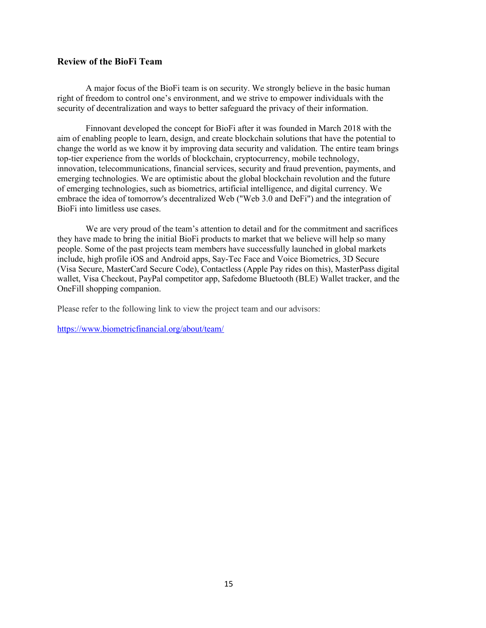# <span id="page-14-0"></span>**[Review of the BioFi Team](#page-14-0)**

A major focus of the BioFi team is on security. We strongly believe in the basic human right of freedom to control one's environment, and we strive to empower individuals with the security of decentralization and ways to better safeguard the privacy of their information.

Finnovant developed the concept for BioFi after it was founded in March 2018 with the aim of enabling people to learn, design, and create blockchain solutions that have the potential to change the world as we know it by improving data security and validation. The entire team brings top-tier experience from the worlds of blockchain, cryptocurrency, mobile technology, innovation, telecommunications, financial services, security and fraud prevention, payments, and emerging technologies. We are optimistic about the global blockchain revolution and the future of emerging technologies, such as biometrics, artificial intelligence, and digital currency. We embrace the idea of tomorrow's decentralized Web ("Web 3.0 and DeFi") and the integration of BioFi into limitless use cases.

We are very proud of the team's attention to detail and for the commitment and sacrifices they have made to bring the initial BioFi products to market that we believe will help so many people. Some of the past projects team members have successfully launched in global markets include, high profile iOS and Android apps, Say-Tec Face and Voice Biometrics, 3D Secure (Visa Secure, MasterCard Secure Code), Contactless (Apple Pay rides on this), MasterPass digital wallet, Visa Checkout, PayPal competitor app, Safedome Bluetooth (BLE) Wallet tracker, and the OneFill shopping companion.

Please refer to the following link to view the project team and our advisors:

<https://www.biometricfinancial.org/about/team/>